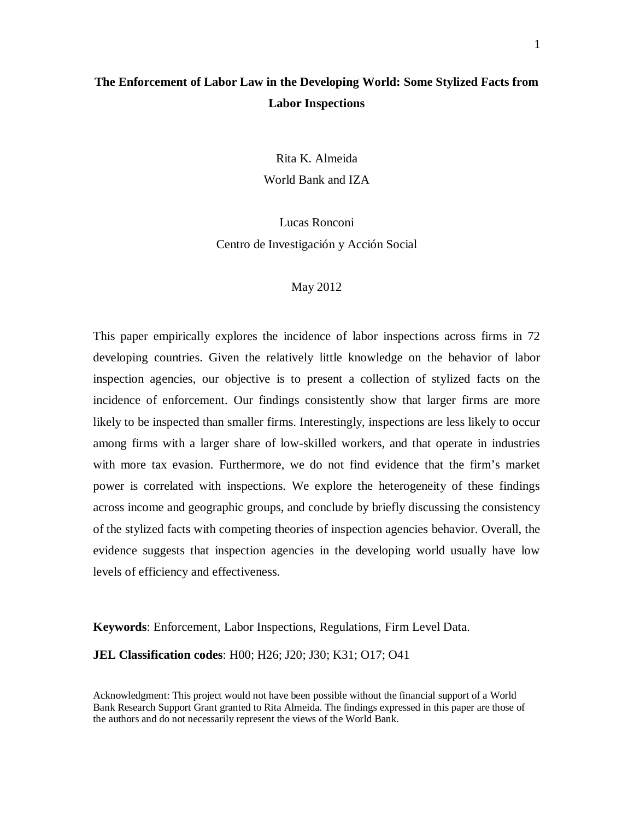# **The Enforcement of Labor Law in the Developing World: Some Stylized Facts from Labor Inspections**

Rita K. Almeida World Bank and IZA

Lucas Ronconi Centro de Investigación y Acción Social

## May 2012

This paper empirically explores the incidence of labor inspections across firms in 72 developing countries. Given the relatively little knowledge on the behavior of labor inspection agencies, our objective is to present a collection of stylized facts on the incidence of enforcement. Our findings consistently show that larger firms are more likely to be inspected than smaller firms. Interestingly, inspections are less likely to occur among firms with a larger share of low-skilled workers, and that operate in industries with more tax evasion. Furthermore, we do not find evidence that the firm's market power is correlated with inspections. We explore the heterogeneity of these findings across income and geographic groups, and conclude by briefly discussing the consistency of the stylized facts with competing theories of inspection agencies behavior. Overall, the evidence suggests that inspection agencies in the developing world usually have low levels of efficiency and effectiveness.

**Keywords**: Enforcement, Labor Inspections, Regulations, Firm Level Data.

**JEL Classification codes**: H00; H26; J20; J30; K31; O17; O41

Acknowledgment: This project would not have been possible without the financial support of a World Bank Research Support Grant granted to Rita Almeida. The findings expressed in this paper are those of the authors and do not necessarily represent the views of the World Bank.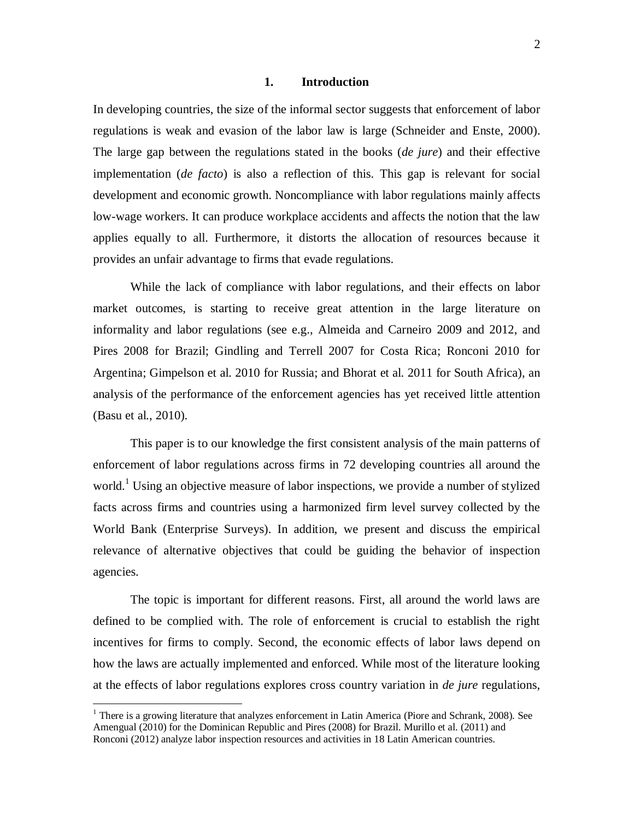## **1. Introduction**

In developing countries, the size of the informal sector suggests that enforcement of labor regulations is weak and evasion of the labor law is large (Schneider and Enste, 2000). The large gap between the regulations stated in the books (*de jure*) and their effective implementation (*de facto*) is also a reflection of this. This gap is relevant for social development and economic growth. Noncompliance with labor regulations mainly affects low-wage workers. It can produce workplace accidents and affects the notion that the law applies equally to all. Furthermore, it distorts the allocation of resources because it provides an unfair advantage to firms that evade regulations.

While the lack of compliance with labor regulations, and their effects on labor market outcomes, is starting to receive great attention in the large literature on informality and labor regulations (see e.g., Almeida and Carneiro 2009 and 2012, and Pires 2008 for Brazil; Gindling and Terrell 2007 for Costa Rica; Ronconi 2010 for Argentina; Gimpelson et al. 2010 for Russia; and Bhorat et al. 2011 for South Africa), an analysis of the performance of the enforcement agencies has yet received little attention (Basu et al., 2010).

This paper is to our knowledge the first consistent analysis of the main patterns of enforcement of labor regulations across firms in 72 developing countries all around the world.<sup>1</sup> Using an objective measure of labor inspections, we provide a number of stylized facts across firms and countries using a harmonized firm level survey collected by the World Bank (Enterprise Surveys). In addition, we present and discuss the empirical relevance of alternative objectives that could be guiding the behavior of inspection agencies.

The topic is important for different reasons. First, all around the world laws are defined to be complied with. The role of enforcement is crucial to establish the right incentives for firms to comply. Second, the economic effects of labor laws depend on how the laws are actually implemented and enforced. While most of the literature looking at the effects of labor regulations explores cross country variation in *de jure* regulations,

 $\overline{a}$ 

<sup>&</sup>lt;sup>1</sup> There is a growing literature that analyzes enforcement in Latin America (Piore and Schrank, 2008). See Amengual (2010) for the Dominican Republic and Pires (2008) for Brazil. Murillo et al. (2011) and Ronconi (2012) analyze labor inspection resources and activities in 18 Latin American countries.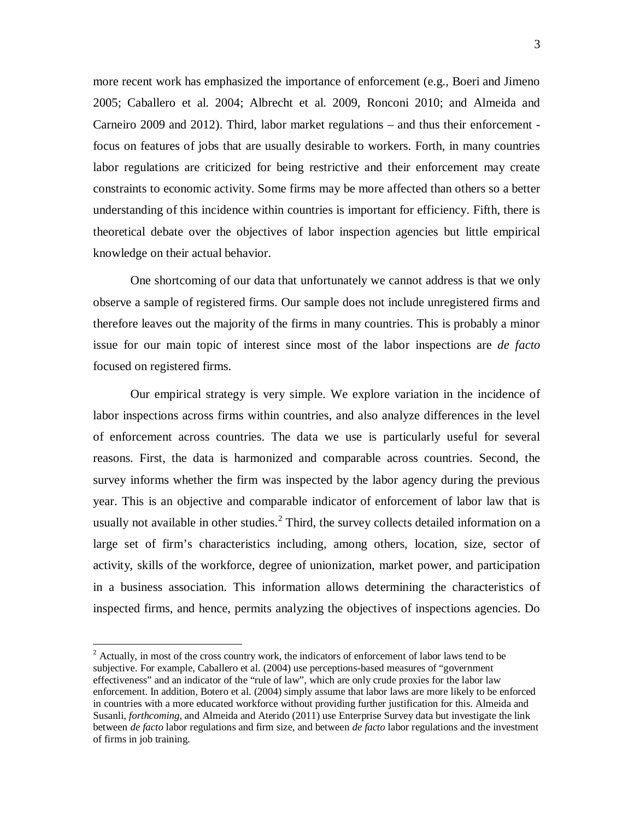more recent work has emphasized the importance of enforcement (e.g., Boeri and Jimeno 2005; Caballero et al. 2004; Albrecht et al. 2009, Ronconi 2010; and Almeida and Carneiro 2009 and 2012). Third, labor market regulations – and thus their enforcement focus on features of jobs that are usually desirable to workers. Forth, in many countries labor regulations are criticized for being restrictive and their enforcement may create constraints to economic activity. Some firms may be more affected than others so a better understanding of this incidence within countries is important for efficiency. Fifth, there is theoretical debate over the objectives of labor inspection agencies but little empirical knowledge on their actual behavior.

One shortcoming of our data that unfortunately we cannot address is that we only observe a sample of registered firms. Our sample does not include unregistered firms and therefore leaves out the majority of the firms in many countries. This is probably a minor issue for our main topic of interest since most of the labor inspections are *de facto* focused on registered firms.

Our empirical strategy is very simple. We explore variation in the incidence of labor inspections across firms within countries, and also analyze differences in the level of enforcement across countries. The data we use is particularly useful for several reasons. First, the data is harmonized and comparable across countries. Second, the survey informs whether the firm was inspected by the labor agency during the previous year. This is an objective and comparable indicator of enforcement of labor law that is usually not available in other studies.<sup>2</sup> Third, the survey collects detailed information on a large set of firm's characteristics including, among others, location, size, sector of activity, skills of the workforce, degree of unionization, market power, and participation in a business association. This information allows determining the characteristics of inspected firms, and hence, permits analyzing the objectives of inspections agencies. Do

 $\overline{a}$ 

 $2^2$  Actually, in most of the cross country work, the indicators of enforcement of labor laws tend to be subjective. For example, Caballero et al. (2004) use perceptions-based measures of "government effectiveness" and an indicator of the "rule of law", which are only crude proxies for the labor law enforcement. In addition, Botero et al. (2004) simply assume that labor laws are more likely to be enforced in countries with a more educated workforce without providing further justification for this. Almeida and Susanli, *forthcoming*, and Almeida and Aterido (2011) use Enterprise Survey data but investigate the link between *de facto* labor regulations and firm size, and between *de facto* labor regulations and the investment of firms in job training.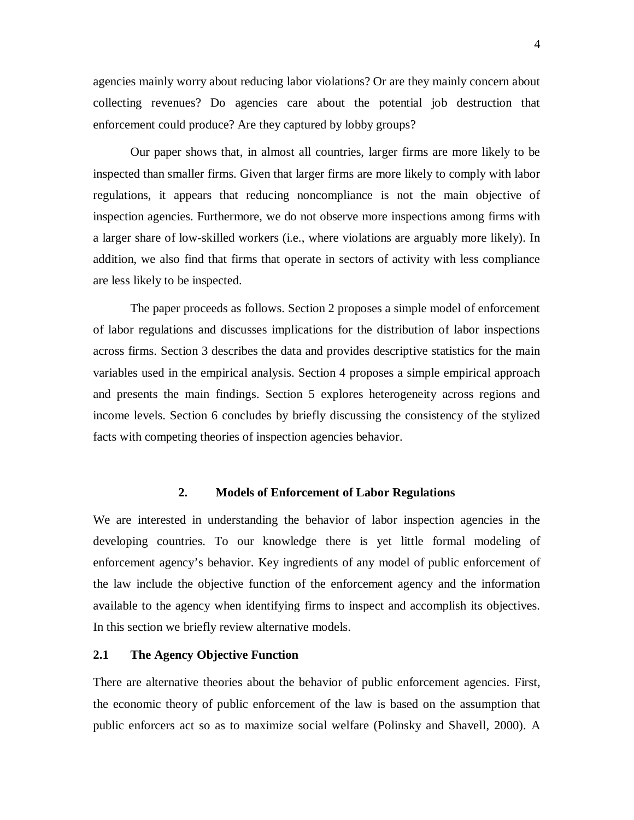agencies mainly worry about reducing labor violations? Or are they mainly concern about collecting revenues? Do agencies care about the potential job destruction that enforcement could produce? Are they captured by lobby groups?

Our paper shows that, in almost all countries, larger firms are more likely to be inspected than smaller firms. Given that larger firms are more likely to comply with labor regulations, it appears that reducing noncompliance is not the main objective of inspection agencies. Furthermore, we do not observe more inspections among firms with a larger share of low-skilled workers (i.e., where violations are arguably more likely). In addition, we also find that firms that operate in sectors of activity with less compliance are less likely to be inspected.

The paper proceeds as follows. Section 2 proposes a simple model of enforcement of labor regulations and discusses implications for the distribution of labor inspections across firms. Section 3 describes the data and provides descriptive statistics for the main variables used in the empirical analysis. Section 4 proposes a simple empirical approach and presents the main findings. Section 5 explores heterogeneity across regions and income levels. Section 6 concludes by briefly discussing the consistency of the stylized facts with competing theories of inspection agencies behavior.

## **2. Models of Enforcement of Labor Regulations**

We are interested in understanding the behavior of labor inspection agencies in the developing countries. To our knowledge there is yet little formal modeling of enforcement agency's behavior. Key ingredients of any model of public enforcement of the law include the objective function of the enforcement agency and the information available to the agency when identifying firms to inspect and accomplish its objectives. In this section we briefly review alternative models.

## **2.1 The Agency Objective Function**

There are alternative theories about the behavior of public enforcement agencies. First, the economic theory of public enforcement of the law is based on the assumption that public enforcers act so as to maximize social welfare (Polinsky and Shavell, 2000). A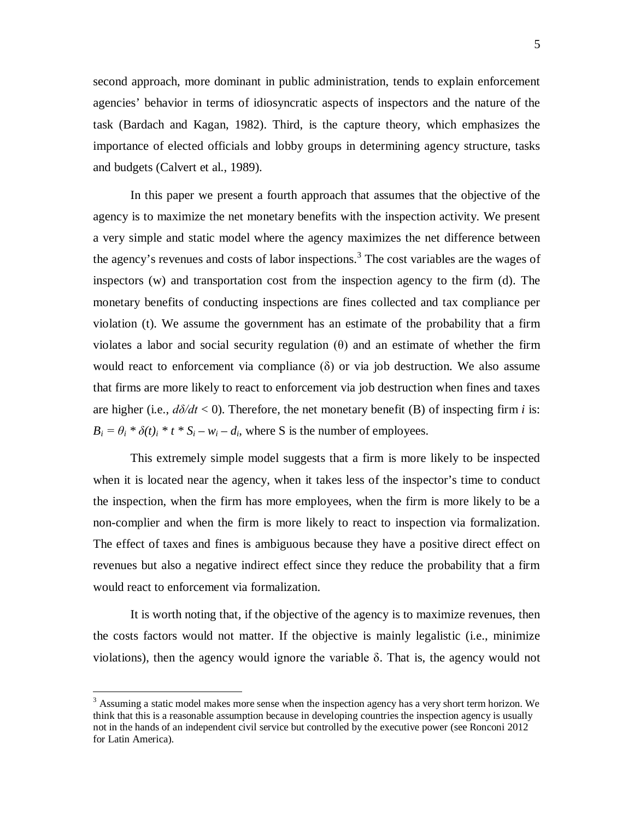second approach, more dominant in public administration, tends to explain enforcement agencies' behavior in terms of idiosyncratic aspects of inspectors and the nature of the task (Bardach and Kagan, 1982). Third, is the capture theory, which emphasizes the importance of elected officials and lobby groups in determining agency structure, tasks and budgets (Calvert et al., 1989).

In this paper we present a fourth approach that assumes that the objective of the agency is to maximize the net monetary benefits with the inspection activity. We present a very simple and static model where the agency maximizes the net difference between the agency's revenues and costs of labor inspections. 3 The cost variables are the wages of inspectors (w) and transportation cost from the inspection agency to the firm (d). The monetary benefits of conducting inspections are fines collected and tax compliance per violation (t). We assume the government has an estimate of the probability that a firm violates a labor and social security regulation (θ) and an estimate of whether the firm would react to enforcement via compliance  $(\delta)$  or via job destruction. We also assume that firms are more likely to react to enforcement via job destruction when fines and taxes are higher (i.e.,  $d\delta/dt$  < 0). Therefore, the net monetary benefit (B) of inspecting firm *i* is:  $B_i = \theta_i * \delta(t)_i * t * S_i - w_i - d_i$ , where S is the number of employees.

This extremely simple model suggests that a firm is more likely to be inspected when it is located near the agency, when it takes less of the inspector's time to conduct the inspection, when the firm has more employees, when the firm is more likely to be a non-complier and when the firm is more likely to react to inspection via formalization. The effect of taxes and fines is ambiguous because they have a positive direct effect on revenues but also a negative indirect effect since they reduce the probability that a firm would react to enforcement via formalization.

It is worth noting that, if the objective of the agency is to maximize revenues, then the costs factors would not matter. If the objective is mainly legalistic (i.e., minimize violations), then the agency would ignore the variable δ. That is, the agency would not

 $\overline{a}$ 

 $3$  Assuming a static model makes more sense when the inspection agency has a very short term horizon. We think that this is a reasonable assumption because in developing countries the inspection agency is usually not in the hands of an independent civil service but controlled by the executive power (see Ronconi 2012 for Latin America).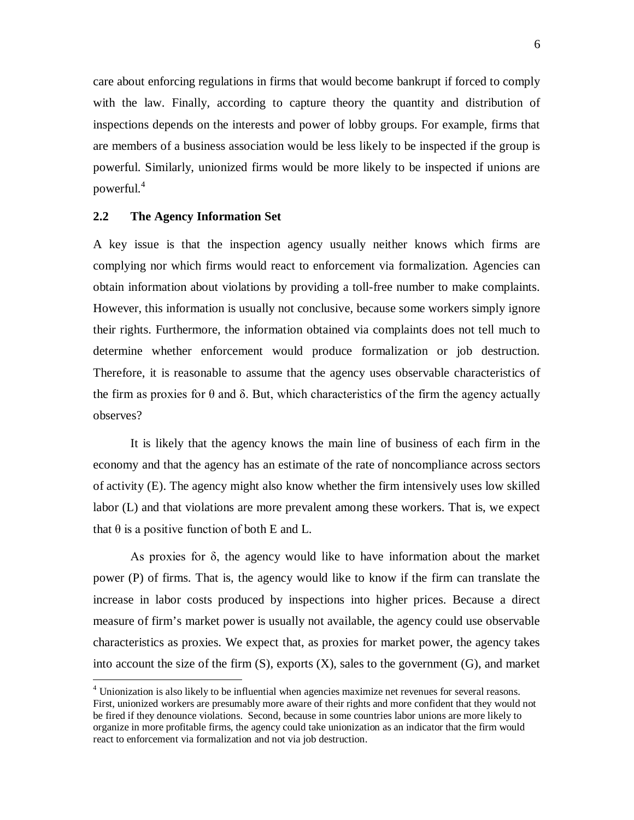care about enforcing regulations in firms that would become bankrupt if forced to comply with the law. Finally, according to capture theory the quantity and distribution of inspections depends on the interests and power of lobby groups. For example, firms that are members of a business association would be less likely to be inspected if the group is powerful. Similarly, unionized firms would be more likely to be inspected if unions are powerful.<sup>4</sup>

## **2.2 The Agency Information Set**

 $\overline{a}$ 

A key issue is that the inspection agency usually neither knows which firms are complying nor which firms would react to enforcement via formalization. Agencies can obtain information about violations by providing a toll-free number to make complaints. However, this information is usually not conclusive, because some workers simply ignore their rights. Furthermore, the information obtained via complaints does not tell much to determine whether enforcement would produce formalization or job destruction. Therefore, it is reasonable to assume that the agency uses observable characteristics of the firm as proxies for  $\theta$  and  $\delta$ . But, which characteristics of the firm the agency actually observes?

It is likely that the agency knows the main line of business of each firm in the economy and that the agency has an estimate of the rate of noncompliance across sectors of activity (E). The agency might also know whether the firm intensively uses low skilled labor (L) and that violations are more prevalent among these workers. That is, we expect that  $\theta$  is a positive function of both E and L.

As proxies for  $\delta$ , the agency would like to have information about the market power (P) of firms. That is, the agency would like to know if the firm can translate the increase in labor costs produced by inspections into higher prices. Because a direct measure of firm's market power is usually not available, the agency could use observable characteristics as proxies. We expect that, as proxies for market power, the agency takes into account the size of the firm  $(S)$ , exports  $(X)$ , sales to the government  $(G)$ , and market

<sup>&</sup>lt;sup>4</sup> Unionization is also likely to be influential when agencies maximize net revenues for several reasons. First, unionized workers are presumably more aware of their rights and more confident that they would not be fired if they denounce violations. Second, because in some countries labor unions are more likely to organize in more profitable firms, the agency could take unionization as an indicator that the firm would react to enforcement via formalization and not via job destruction.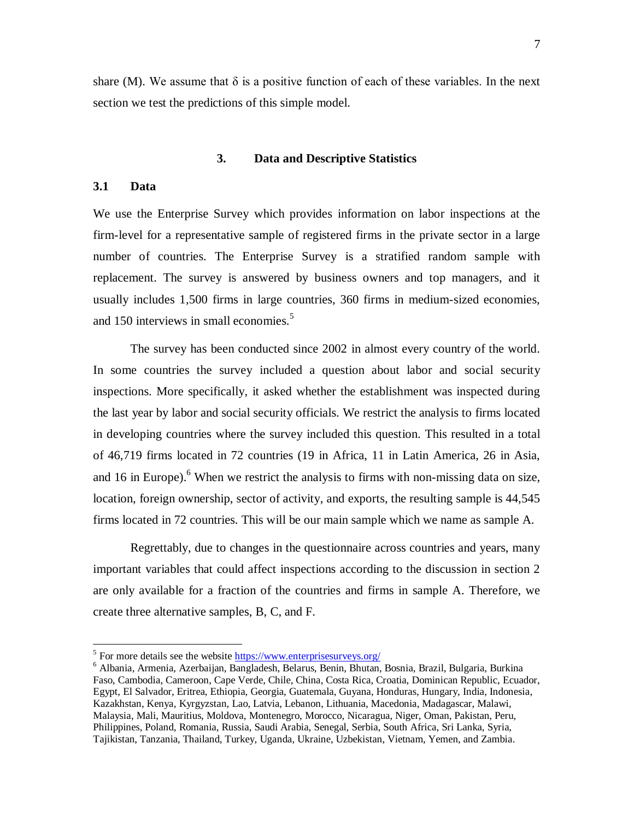share (M). We assume that  $\delta$  is a positive function of each of these variables. In the next section we test the predictions of this simple model.

## **3. Data and Descriptive Statistics**

## **3.1 Data**

We use the Enterprise Survey which provides information on labor inspections at the firm-level for a representative sample of registered firms in the private sector in a large number of countries. The Enterprise Survey is a stratified random sample with replacement. The survey is answered by business owners and top managers, and it usually includes 1,500 firms in large countries, 360 firms in medium-sized economies, and 150 interviews in small economies.<sup>5</sup>

The survey has been conducted since 2002 in almost every country of the world. In some countries the survey included a question about labor and social security inspections. More specifically, it asked whether the establishment was inspected during the last year by labor and social security officials. We restrict the analysis to firms located in developing countries where the survey included this question. This resulted in a total of 46,719 firms located in 72 countries (19 in Africa, 11 in Latin America, 26 in Asia, and 16 in Europe).<sup>6</sup> When we restrict the analysis to firms with non-missing data on size, location, foreign ownership, sector of activity, and exports, the resulting sample is 44,545 firms located in 72 countries. This will be our main sample which we name as sample A.

Regrettably, due to changes in the questionnaire across countries and years, many important variables that could affect inspections according to the discussion in section 2 are only available for a fraction of the countries and firms in sample A. Therefore, we create three alternative samples, B, C, and F.

<sup>&</sup>lt;sup>5</sup> For more details see the website **https://www.enterprisesurveys.org/** 

<sup>6</sup> Albania, Armenia, Azerbaijan, Bangladesh, Belarus, Benin, Bhutan, Bosnia, Brazil, Bulgaria, Burkina Faso, Cambodia, Cameroon, Cape Verde, Chile, China, Costa Rica, Croatia, Dominican Republic, Ecuador, Egypt, El Salvador, Eritrea, Ethiopia, Georgia, Guatemala, Guyana, Honduras, Hungary, India, Indonesia, Kazakhstan, Kenya, Kyrgyzstan, Lao, Latvia, Lebanon, Lithuania, Macedonia, Madagascar, Malawi, Malaysia, Mali, Mauritius, Moldova, Montenegro, Morocco, Nicaragua, Niger, Oman, Pakistan, Peru, Philippines, Poland, Romania, Russia, Saudi Arabia, Senegal, Serbia, South Africa, Sri Lanka, Syria, Tajikistan, Tanzania, Thailand, Turkey, Uganda, Ukraine, Uzbekistan, Vietnam, Yemen, and Zambia.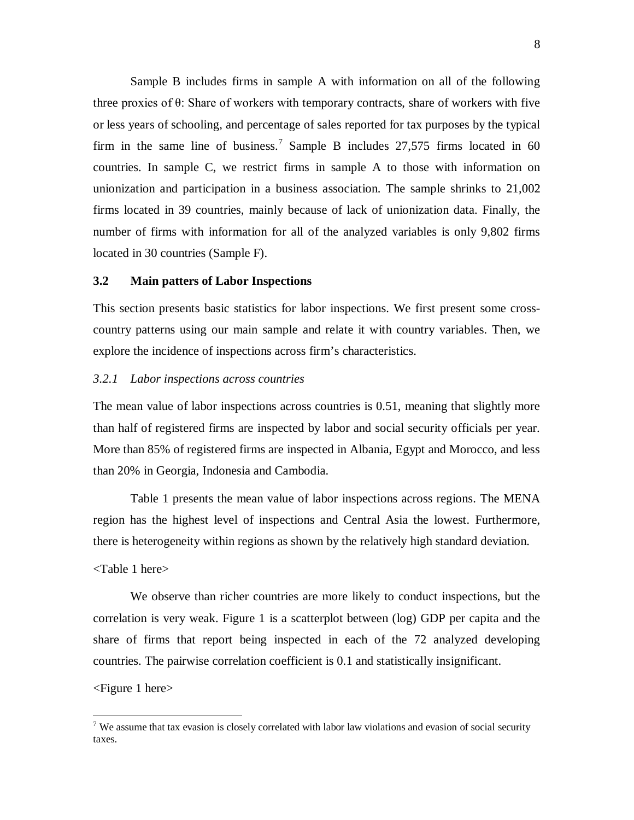Sample B includes firms in sample A with information on all of the following three proxies of θ: Share of workers with temporary contracts, share of workers with five or less years of schooling, and percentage of sales reported for tax purposes by the typical firm in the same line of business.<sup>7</sup> Sample B includes 27,575 firms located in 60 countries. In sample C, we restrict firms in sample A to those with information on unionization and participation in a business association. The sample shrinks to 21,002 firms located in 39 countries, mainly because of lack of unionization data. Finally, the number of firms with information for all of the analyzed variables is only 9,802 firms located in 30 countries (Sample F).

## **3.2 Main patters of Labor Inspections**

This section presents basic statistics for labor inspections. We first present some crosscountry patterns using our main sample and relate it with country variables. Then, we explore the incidence of inspections across firm's characteristics.

## *3.2.1 Labor inspections across countries*

The mean value of labor inspections across countries is 0.51, meaning that slightly more than half of registered firms are inspected by labor and social security officials per year. More than 85% of registered firms are inspected in Albania, Egypt and Morocco, and less than 20% in Georgia, Indonesia and Cambodia.

Table 1 presents the mean value of labor inspections across regions. The MENA region has the highest level of inspections and Central Asia the lowest. Furthermore, there is heterogeneity within regions as shown by the relatively high standard deviation.

## <Table 1 here>

We observe than richer countries are more likely to conduct inspections, but the correlation is very weak. Figure 1 is a scatterplot between (log) GDP per capita and the share of firms that report being inspected in each of the 72 analyzed developing countries. The pairwise correlation coefficient is 0.1 and statistically insignificant.

## <Figure 1 here>

<sup>&</sup>lt;sup>7</sup> We assume that tax evasion is closely correlated with labor law violations and evasion of social security taxes.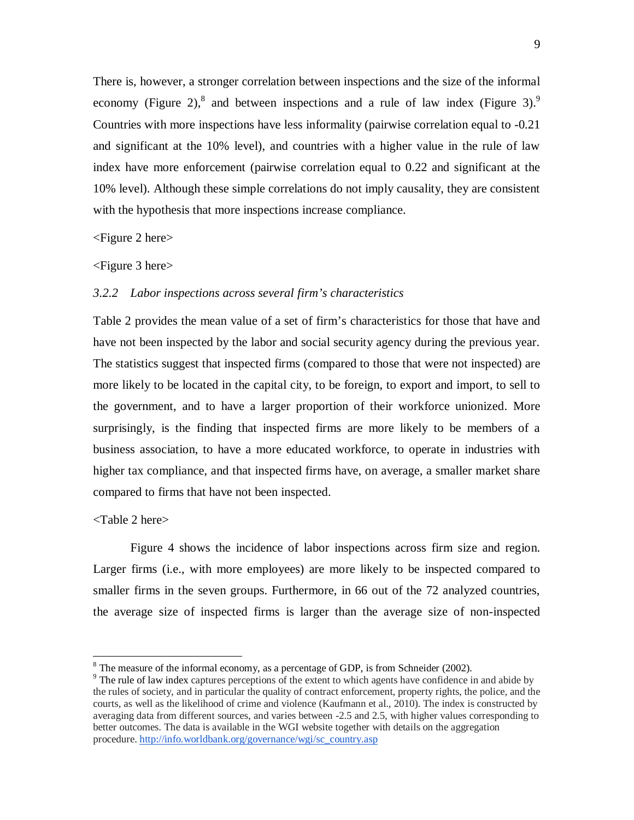There is, however, a stronger correlation between inspections and the size of the informal economy (Figure 2),<sup>8</sup> and between inspections and a rule of law index (Figure 3).<sup>9</sup> Countries with more inspections have less informality (pairwise correlation equal to -0.21 and significant at the 10% level), and countries with a higher value in the rule of law index have more enforcement (pairwise correlation equal to 0.22 and significant at the 10% level). Although these simple correlations do not imply causality, they are consistent with the hypothesis that more inspections increase compliance.

## <Figure 2 here>

#### <Figure 3 here>

## *3.2.2 Labor inspections across several firm's characteristics*

Table 2 provides the mean value of a set of firm's characteristics for those that have and have not been inspected by the labor and social security agency during the previous year. The statistics suggest that inspected firms (compared to those that were not inspected) are more likely to be located in the capital city, to be foreign, to export and import, to sell to the government, and to have a larger proportion of their workforce unionized. More surprisingly, is the finding that inspected firms are more likely to be members of a business association, to have a more educated workforce, to operate in industries with higher tax compliance, and that inspected firms have, on average, a smaller market share compared to firms that have not been inspected.

## <Table 2 here>

 $\overline{a}$ 

Figure 4 shows the incidence of labor inspections across firm size and region. Larger firms (i.e., with more employees) are more likely to be inspected compared to smaller firms in the seven groups. Furthermore, in 66 out of the 72 analyzed countries, the average size of inspected firms is larger than the average size of non-inspected

 $8$  The measure of the informal economy, as a percentage of GDP, is from Schneider (2002).

<sup>&</sup>lt;sup>9</sup> The rule of law index captures perceptions of the extent to which agents have confidence in and abide by the rules of society, and in particular the quality of contract enforcement, property rights, the police, and the courts, as well as the likelihood of crime and violence (Kaufmann et al., 2010). The index is constructed by averaging data from different sources, and varies between -2.5 and 2.5, with higher values corresponding to better outcomes. The data is available in the WGI website together with details on the aggregation procedure. http://info.worldbank.org/governance/wgi/sc\_country.asp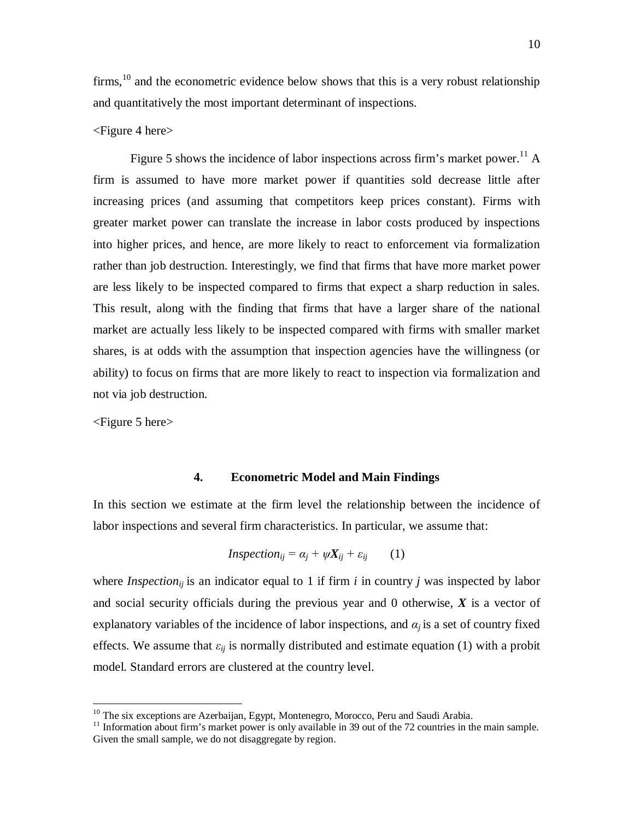firms,  $10$  and the econometric evidence below shows that this is a very robust relationship and quantitatively the most important determinant of inspections.

## <Figure 4 here>

Figure 5 shows the incidence of labor inspections across firm's market power.<sup>11</sup> A firm is assumed to have more market power if quantities sold decrease little after increasing prices (and assuming that competitors keep prices constant). Firms with greater market power can translate the increase in labor costs produced by inspections into higher prices, and hence, are more likely to react to enforcement via formalization rather than job destruction. Interestingly, we find that firms that have more market power are less likely to be inspected compared to firms that expect a sharp reduction in sales. This result, along with the finding that firms that have a larger share of the national market are actually less likely to be inspected compared with firms with smaller market shares, is at odds with the assumption that inspection agencies have the willingness (or ability) to focus on firms that are more likely to react to inspection via formalization and not via job destruction.

<Figure 5 here>

 $\overline{a}$ 

## **4. Econometric Model and Main Findings**

In this section we estimate at the firm level the relationship between the incidence of labor inspections and several firm characteristics. In particular, we assume that:

$$
Inspection_{ij} = \alpha_j + \psi X_{ij} + \varepsilon_{ij} \qquad (1)
$$

where *Inspection<sub>ii</sub>* is an indicator equal to 1 if firm *i* in country *j* was inspected by labor and social security officials during the previous year and 0 otherwise, *X* is a vector of explanatory variables of the incidence of labor inspections, and  $\alpha_i$  is a set of country fixed effects. We assume that  $\varepsilon_{ij}$  is normally distributed and estimate equation (1) with a probit model. Standard errors are clustered at the country level.

 $10$  The six exceptions are Azerbaijan, Egypt, Montenegro, Morocco, Peru and Saudi Arabia.

<sup>&</sup>lt;sup>11</sup> Information about firm's market power is only available in 39 out of the 72 countries in the main sample. Given the small sample, we do not disaggregate by region.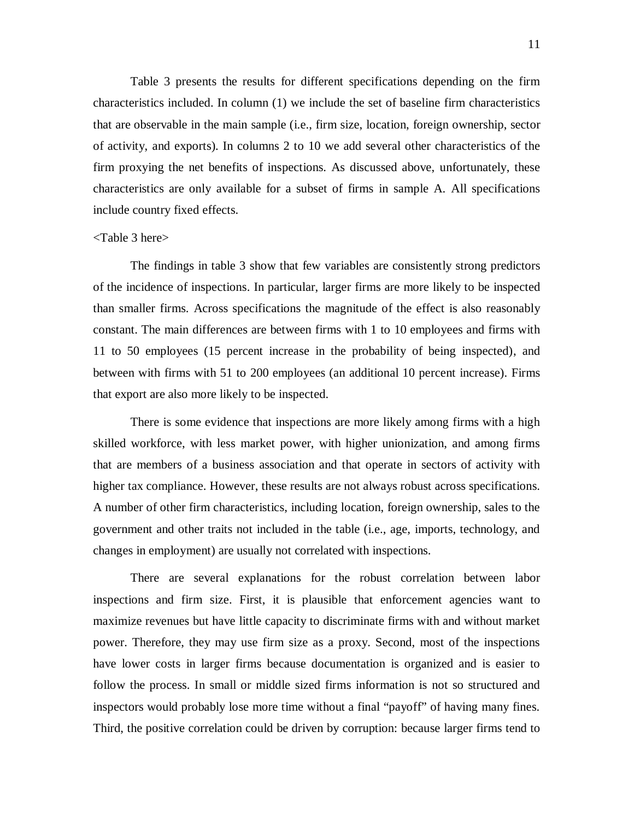Table 3 presents the results for different specifications depending on the firm characteristics included. In column (1) we include the set of baseline firm characteristics that are observable in the main sample (i.e., firm size, location, foreign ownership, sector of activity, and exports). In columns 2 to 10 we add several other characteristics of the firm proxying the net benefits of inspections. As discussed above, unfortunately, these characteristics are only available for a subset of firms in sample A. All specifications include country fixed effects.

## <Table 3 here>

The findings in table 3 show that few variables are consistently strong predictors of the incidence of inspections. In particular, larger firms are more likely to be inspected than smaller firms. Across specifications the magnitude of the effect is also reasonably constant. The main differences are between firms with 1 to 10 employees and firms with 11 to 50 employees (15 percent increase in the probability of being inspected), and between with firms with 51 to 200 employees (an additional 10 percent increase). Firms that export are also more likely to be inspected.

There is some evidence that inspections are more likely among firms with a high skilled workforce, with less market power, with higher unionization, and among firms that are members of a business association and that operate in sectors of activity with higher tax compliance. However, these results are not always robust across specifications. A number of other firm characteristics, including location, foreign ownership, sales to the government and other traits not included in the table (i.e., age, imports, technology, and changes in employment) are usually not correlated with inspections.

There are several explanations for the robust correlation between labor inspections and firm size. First, it is plausible that enforcement agencies want to maximize revenues but have little capacity to discriminate firms with and without market power. Therefore, they may use firm size as a proxy. Second, most of the inspections have lower costs in larger firms because documentation is organized and is easier to follow the process. In small or middle sized firms information is not so structured and inspectors would probably lose more time without a final "payoff" of having many fines. Third, the positive correlation could be driven by corruption: because larger firms tend to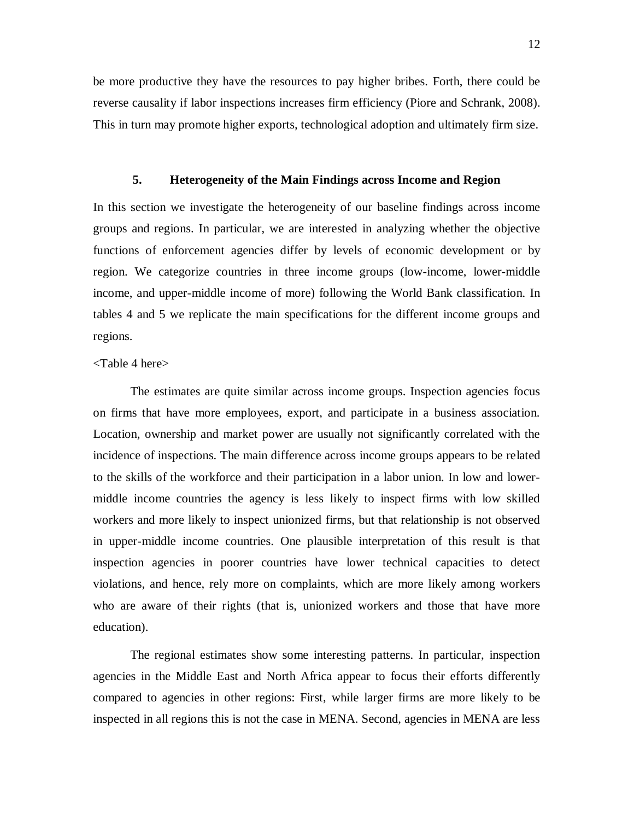be more productive they have the resources to pay higher bribes. Forth, there could be reverse causality if labor inspections increases firm efficiency (Piore and Schrank, 2008). This in turn may promote higher exports, technological adoption and ultimately firm size.

## **5. Heterogeneity of the Main Findings across Income and Region**

In this section we investigate the heterogeneity of our baseline findings across income groups and regions. In particular, we are interested in analyzing whether the objective functions of enforcement agencies differ by levels of economic development or by region. We categorize countries in three income groups (low-income, lower-middle income, and upper-middle income of more) following the World Bank classification. In tables 4 and 5 we replicate the main specifications for the different income groups and regions.

## <Table 4 here>

The estimates are quite similar across income groups. Inspection agencies focus on firms that have more employees, export, and participate in a business association. Location, ownership and market power are usually not significantly correlated with the incidence of inspections. The main difference across income groups appears to be related to the skills of the workforce and their participation in a labor union. In low and lowermiddle income countries the agency is less likely to inspect firms with low skilled workers and more likely to inspect unionized firms, but that relationship is not observed in upper-middle income countries. One plausible interpretation of this result is that inspection agencies in poorer countries have lower technical capacities to detect violations, and hence, rely more on complaints, which are more likely among workers who are aware of their rights (that is, unionized workers and those that have more education).

The regional estimates show some interesting patterns. In particular, inspection agencies in the Middle East and North Africa appear to focus their efforts differently compared to agencies in other regions: First, while larger firms are more likely to be inspected in all regions this is not the case in MENA. Second, agencies in MENA are less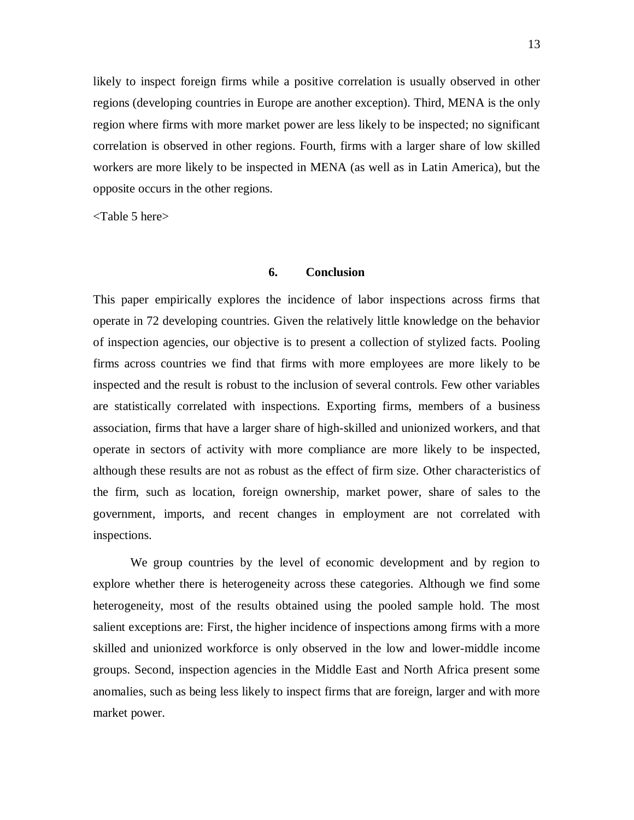likely to inspect foreign firms while a positive correlation is usually observed in other regions (developing countries in Europe are another exception). Third, MENA is the only region where firms with more market power are less likely to be inspected; no significant correlation is observed in other regions. Fourth, firms with a larger share of low skilled workers are more likely to be inspected in MENA (as well as in Latin America), but the opposite occurs in the other regions.

<Table 5 here>

## **6. Conclusion**

This paper empirically explores the incidence of labor inspections across firms that operate in 72 developing countries. Given the relatively little knowledge on the behavior of inspection agencies, our objective is to present a collection of stylized facts. Pooling firms across countries we find that firms with more employees are more likely to be inspected and the result is robust to the inclusion of several controls. Few other variables are statistically correlated with inspections. Exporting firms, members of a business association, firms that have a larger share of high-skilled and unionized workers, and that operate in sectors of activity with more compliance are more likely to be inspected, although these results are not as robust as the effect of firm size. Other characteristics of the firm, such as location, foreign ownership, market power, share of sales to the government, imports, and recent changes in employment are not correlated with inspections.

We group countries by the level of economic development and by region to explore whether there is heterogeneity across these categories. Although we find some heterogeneity, most of the results obtained using the pooled sample hold. The most salient exceptions are: First, the higher incidence of inspections among firms with a more skilled and unionized workforce is only observed in the low and lower-middle income groups. Second, inspection agencies in the Middle East and North Africa present some anomalies, such as being less likely to inspect firms that are foreign, larger and with more market power.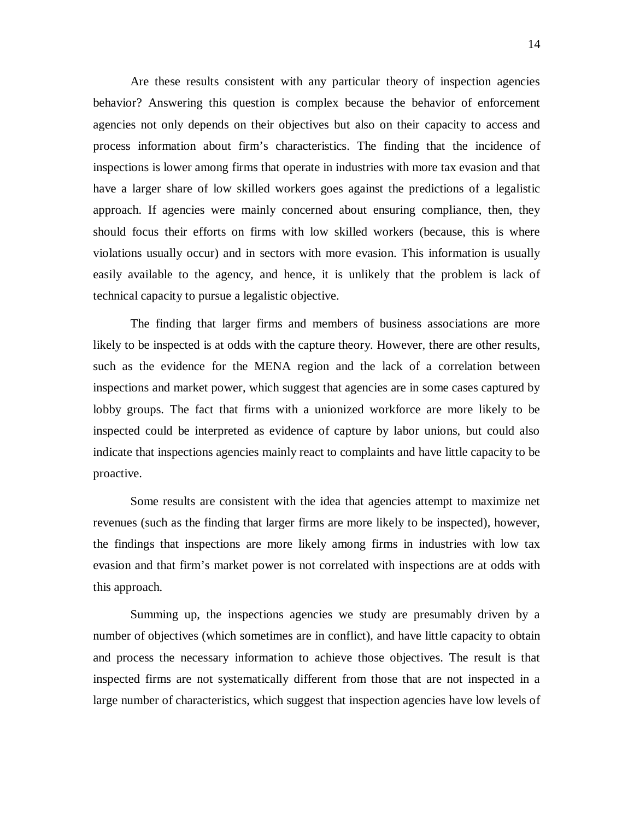Are these results consistent with any particular theory of inspection agencies behavior? Answering this question is complex because the behavior of enforcement agencies not only depends on their objectives but also on their capacity to access and process information about firm's characteristics. The finding that the incidence of inspections is lower among firms that operate in industries with more tax evasion and that have a larger share of low skilled workers goes against the predictions of a legalistic approach. If agencies were mainly concerned about ensuring compliance, then, they should focus their efforts on firms with low skilled workers (because, this is where violations usually occur) and in sectors with more evasion. This information is usually easily available to the agency, and hence, it is unlikely that the problem is lack of technical capacity to pursue a legalistic objective.

The finding that larger firms and members of business associations are more likely to be inspected is at odds with the capture theory. However, there are other results, such as the evidence for the MENA region and the lack of a correlation between inspections and market power, which suggest that agencies are in some cases captured by lobby groups. The fact that firms with a unionized workforce are more likely to be inspected could be interpreted as evidence of capture by labor unions, but could also indicate that inspections agencies mainly react to complaints and have little capacity to be proactive.

Some results are consistent with the idea that agencies attempt to maximize net revenues (such as the finding that larger firms are more likely to be inspected), however, the findings that inspections are more likely among firms in industries with low tax evasion and that firm's market power is not correlated with inspections are at odds with this approach.

Summing up, the inspections agencies we study are presumably driven by a number of objectives (which sometimes are in conflict), and have little capacity to obtain and process the necessary information to achieve those objectives. The result is that inspected firms are not systematically different from those that are not inspected in a large number of characteristics, which suggest that inspection agencies have low levels of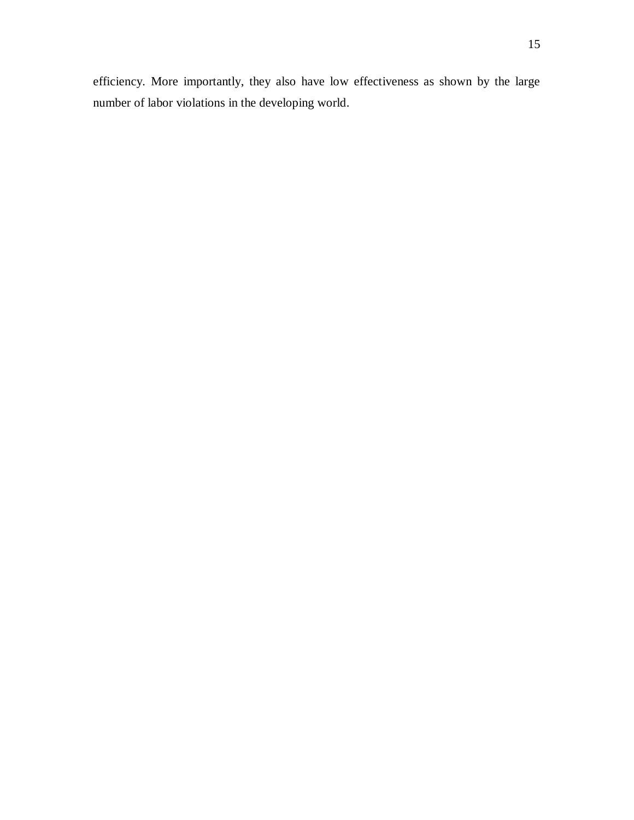efficiency. More importantly, they also have low effectiveness as shown by the large number of labor violations in the developing world.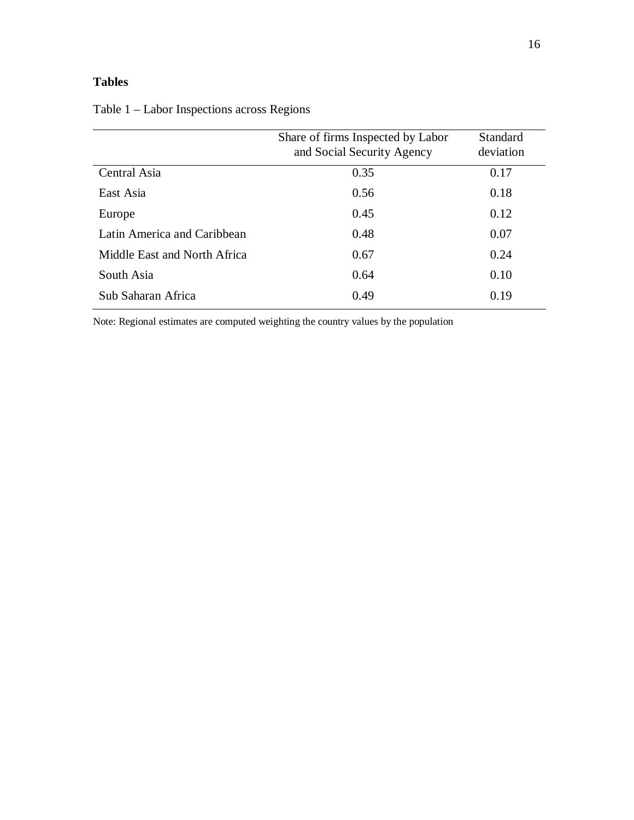## **Tables**

|                              | Share of firms Inspected by Labor<br>and Social Security Agency | Standard<br>deviation |
|------------------------------|-----------------------------------------------------------------|-----------------------|
| Central Asia                 | 0.35                                                            | 0.17                  |
| East Asia                    | 0.56                                                            | 0.18                  |
| Europe                       | 0.45                                                            | 0.12                  |
| Latin America and Caribbean  | 0.48                                                            | 0.07                  |
| Middle East and North Africa | 0.67                                                            | 0.24                  |
| South Asia                   | 0.64                                                            | 0.10                  |
| Sub Saharan Africa           | 0.49                                                            | 0.19                  |

Table 1 – Labor Inspections across Regions

Note: Regional estimates are computed weighting the country values by the population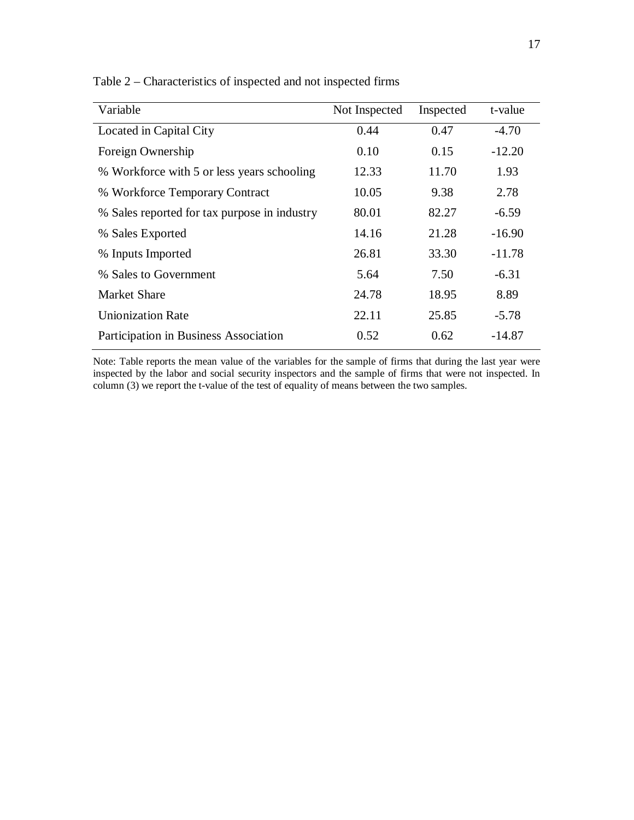| Variable                                     | Not Inspected | Inspected | t-value  |
|----------------------------------------------|---------------|-----------|----------|
| Located in Capital City                      | 0.44          | 0.47      | $-4.70$  |
| Foreign Ownership                            | 0.10          | 0.15      | $-12.20$ |
| % Workforce with 5 or less years schooling   | 12.33         | 11.70     | 1.93     |
| % Workforce Temporary Contract               | 10.05         | 9.38      | 2.78     |
| % Sales reported for tax purpose in industry | 80.01         | 82.27     | $-6.59$  |
| % Sales Exported                             | 14.16         | 21.28     | $-16.90$ |
| % Inputs Imported                            | 26.81         | 33.30     | $-11.78$ |
| % Sales to Government                        | 5.64          | 7.50      | $-6.31$  |
| Market Share                                 | 24.78         | 18.95     | 8.89     |
| <b>Unionization Rate</b>                     | 22.11         | 25.85     | $-5.78$  |
| Participation in Business Association        | 0.52          | 0.62      | $-14.87$ |

Table 2 – Characteristics of inspected and not inspected firms

Note: Table reports the mean value of the variables for the sample of firms that during the last year were inspected by the labor and social security inspectors and the sample of firms that were not inspected. In column (3) we report the t-value of the test of equality of means between the two samples.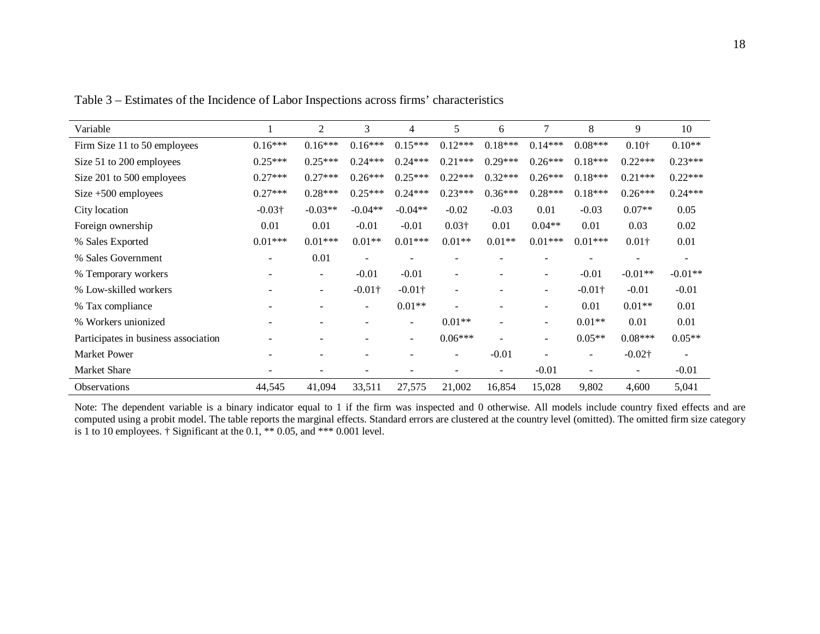| Variable                             |                          | 2                        | 3                        | 4                        | 5                        | 6                        | 7                        | 8                        | 9                        | 10                       |
|--------------------------------------|--------------------------|--------------------------|--------------------------|--------------------------|--------------------------|--------------------------|--------------------------|--------------------------|--------------------------|--------------------------|
| Firm Size 11 to 50 employees         | $0.16***$                | $0.16***$                | $0.16***$                | $0.15***$                | $0.12***$                | $0.18***$                | $0.14***$                | $0.08***$                | $0.10^{+}$               | $0.10**$                 |
| Size 51 to 200 employees             | $0.25***$                | $0.25***$                | $0.24***$                | $0.24***$                | $0.21***$                | $0.29***$                | $0.26***$                | $0.18***$                | $0.22***$                | $0.23***$                |
| Size 201 to 500 employees            | $0.27***$                | $0.27***$                | $0.26***$                | $0.25***$                | $0.22***$                | $0.32***$                | $0.26***$                | $0.18***$                | $0.21***$                | $0.22***$                |
| Size $+500$ employees                | $0.27***$                | $0.28***$                | $0.25***$                | $0.24***$                | $0.23***$                | $0.36***$                | $0.28***$                | $0.18***$                | $0.26***$                | $0.24***$                |
| City location                        | $-0.03\dagger$           | $-0.03**$                | $-0.04**$                | $-0.04**$                | $-0.02$                  | $-0.03$                  | 0.01                     | $-0.03$                  | $0.07**$                 | 0.05                     |
| Foreign ownership                    | 0.01                     | 0.01                     | $-0.01$                  | $-0.01$                  | $0.03\dagger$            | 0.01                     | $0.04**$                 | 0.01                     | 0.03                     | 0.02                     |
| % Sales Exported                     | $0.01***$                | $0.01***$                | $0.01**$                 | $0.01***$                | $0.01**$                 | $0.01**$                 | $0.01***$                | $0.01***$                | $0.01\dagger$            | 0.01                     |
| % Sales Government                   | $\overline{\phantom{a}}$ | 0.01                     | $\overline{\phantom{a}}$ | ٠                        |                          |                          | ۰                        | $\overline{\phantom{0}}$ | $\overline{\phantom{a}}$ | $\overline{\phantom{a}}$ |
| % Temporary workers                  |                          | $\overline{\phantom{a}}$ | $-0.01$                  | $-0.01$                  | $\blacksquare$           |                          | ۰                        | $-0.01$                  | $-0.01**$                | $-0.01**$                |
| % Low-skilled workers                |                          | $\overline{\phantom{a}}$ | $-0.01\dagger$           | $-0.01\dagger$           | $\blacksquare$           |                          | ۰                        | $-0.01\dagger$           | $-0.01$                  | $-0.01$                  |
| % Tax compliance                     |                          | ۰                        | $\overline{\phantom{a}}$ | $0.01**$                 |                          |                          | ۰                        | 0.01                     | $0.01**$                 | 0.01                     |
| % Workers unionized                  |                          |                          |                          | $\overline{\phantom{0}}$ | $0.01**$                 | $\overline{\phantom{a}}$ | ۰                        | $0.01**$                 | 0.01                     | 0.01                     |
| Participates in business association |                          |                          |                          | Ξ.                       | $0.06***$                |                          | $\overline{\phantom{a}}$ | $0.05**$                 | $0.08***$                | $0.05**$                 |
| <b>Market Power</b>                  |                          | -                        |                          |                          | $\overline{\phantom{a}}$ | $-0.01$                  | $\blacksquare$           | $\sim$                   | $-0.02\dagger$           | $\overline{\phantom{a}}$ |
| Market Share                         |                          |                          | $\overline{\phantom{0}}$ |                          | $\overline{\phantom{0}}$ | $\overline{\phantom{a}}$ | $-0.01$                  | $\overline{\phantom{a}}$ | $\overline{\phantom{a}}$ | $-0.01$                  |
| Observations                         | 44,545                   | 41,094                   | 33,511                   | 27,575                   | 21,002                   | 16,854                   | 15,028                   | 9,802                    | 4,600                    | 5,041                    |

Table 3 – Estimates of the Incidence of Labor Inspections across firms' characteristics

Note: The dependent variable is a binary indicator equal to 1 if the firm was inspected and 0 otherwise. All models include country fixed effects and are computed using a probit model. The table reports the marginal effects. Standard errors are clustered at the country level (omitted). The omitted firm size category is 1 to 10 employees.  $\dagger$  Significant at the 0.1,  $**$  0.05, and  $***$  0.001 level.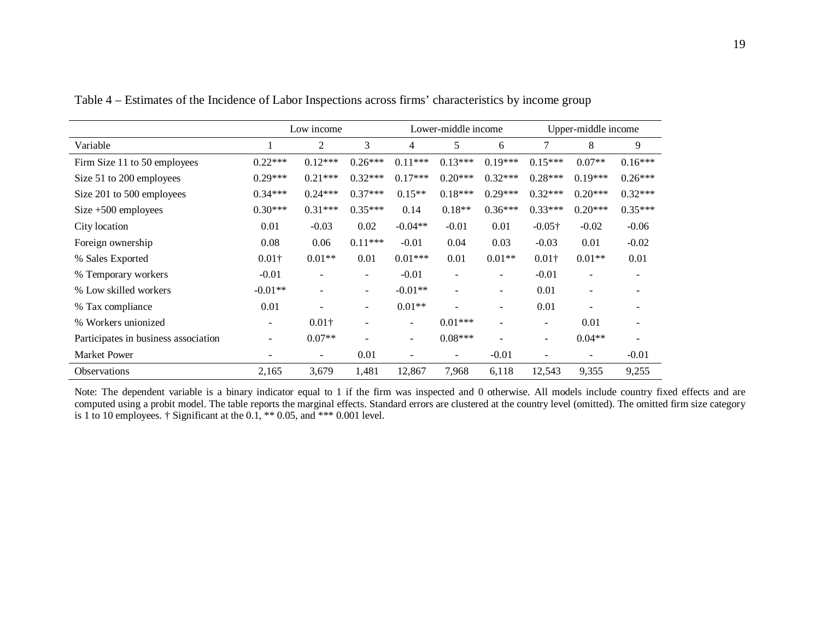|                                      |                          | Low income                   |                          |                          | Lower-middle income          |                          | Upper-middle income      |           |           |  |
|--------------------------------------|--------------------------|------------------------------|--------------------------|--------------------------|------------------------------|--------------------------|--------------------------|-----------|-----------|--|
| Variable                             |                          | $\overline{2}$               | 3                        | 4                        | 5                            | 6                        | $\tau$                   | 8         | 9         |  |
| Firm Size 11 to 50 employees         | $0.22***$                | $0.12***$                    | $0.26***$                | $0.11***$                | $0.13***$                    | $0.19***$                | $0.15***$                | $0.07**$  | $0.16***$ |  |
| Size 51 to 200 employees             | $0.29***$                | $0.21***$                    | $0.32***$                | $0.17***$                | $0.20***$                    | $0.32***$                | $0.28***$                | $0.19***$ | $0.26***$ |  |
| Size 201 to 500 employees            | $0.34***$                | $0.24***$                    | $0.37***$                | $0.15**$                 | $0.18***$                    | $0.29***$                | $0.32***$                | $0.20***$ | $0.32***$ |  |
| Size $+500$ employees                | $0.30***$                | $0.31***$                    | $0.35***$                | 0.14                     | $0.18**$                     | $0.36***$                | $0.33***$                | $0.20***$ | $0.35***$ |  |
| City location                        | 0.01                     | $-0.03$                      | 0.02                     | $-0.04**$                | $-0.01$                      | 0.01                     | $-0.05\dagger$           | $-0.02$   | $-0.06$   |  |
| Foreign ownership                    | 0.08                     | 0.06                         | $0.11***$                | $-0.01$                  | 0.04                         | 0.03                     | $-0.03$                  | 0.01      | $-0.02$   |  |
| % Sales Exported                     | $0.01\dagger$            | $0.01**$                     | 0.01                     | $0.01***$                | 0.01                         | $0.01**$                 | $0.01\dagger$            | $0.01**$  | 0.01      |  |
| % Temporary workers                  | $-0.01$                  | $\qquad \qquad \blacksquare$ | $\overline{\phantom{a}}$ | $-0.01$                  | $\blacksquare$               | $\overline{\phantom{a}}$ | $-0.01$                  |           |           |  |
| % Low skilled workers                | $-0.01**$                |                              | $\overline{\phantom{a}}$ | $-0.01**$                | $\qquad \qquad \blacksquare$ | $\qquad \qquad -$        | 0.01                     |           |           |  |
| % Tax compliance                     | 0.01                     |                              | $\overline{\phantom{a}}$ | $0.01**$                 |                              | $\qquad \qquad -$        | 0.01                     |           |           |  |
| % Workers unionized                  | $\overline{\phantom{a}}$ | $0.01\dagger$                | $\overline{\phantom{a}}$ | $\overline{\phantom{a}}$ | $0.01***$                    | $\qquad \qquad -$        | $\overline{\phantom{a}}$ | 0.01      |           |  |
| Participates in business association |                          | $0.07**$                     |                          | $\overline{\phantom{a}}$ | $0.08***$                    |                          | $\overline{\phantom{a}}$ | $0.04**$  |           |  |
| <b>Market Power</b>                  | ٠                        | -                            | 0.01                     | $\overline{\phantom{a}}$ | $\qquad \qquad \blacksquare$ | $-0.01$                  | $\blacksquare$           |           | $-0.01$   |  |
| <b>Observations</b>                  | 2,165                    | 3,679                        | 1,481                    | 12,867                   | 7,968                        | 6,118                    | 12,543                   | 9,355     | 9,255     |  |

Table 4 – Estimates of the Incidence of Labor Inspections across firms' characteristics by income group

Note: The dependent variable is a binary indicator equal to 1 if the firm was inspected and 0 otherwise. All models include country fixed effects and are computed using a probit model. The table reports the marginal effects. Standard errors are clustered at the country level (omitted). The omitted firm size category is 1 to 10 employees. † Significant at the 0.1,  $**$  0.05, and  $***$  0.001 level.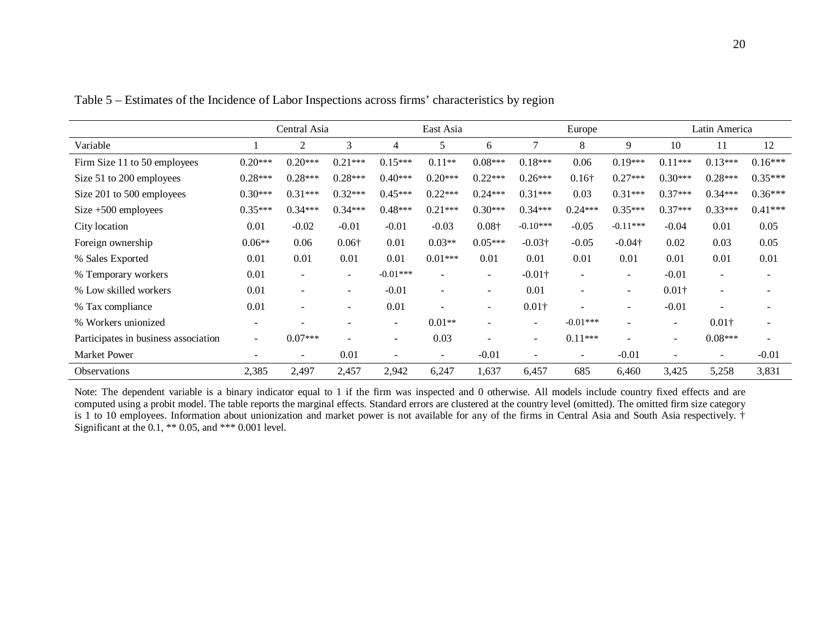|                                      |                          | Central Asia<br>East Asia |                          |            |                | Europe                   |                          | Latin America            |                          |                          |                          |           |
|--------------------------------------|--------------------------|---------------------------|--------------------------|------------|----------------|--------------------------|--------------------------|--------------------------|--------------------------|--------------------------|--------------------------|-----------|
| Variable                             |                          | 2                         | 3                        | 4          | 5              | 6                        | 7                        | 8                        | 9                        | 10                       | 11                       | 12        |
| Firm Size 11 to 50 employees         | $0.20***$                | $0.20***$                 | $0.21***$                | $0.15***$  | $0.11**$       | $0.08***$                | $0.18***$                | 0.06                     | $0.19***$                | $0.11***$                | $0.13***$                | $0.16***$ |
| Size 51 to 200 employees             | $0.28***$                | $0.28***$                 | $0.28***$                | $0.40***$  | $0.20***$      | $0.22***$                | $0.26***$                | $0.16\dagger$            | $0.27***$                | $0.30***$                | $0.28***$                | $0.35***$ |
| Size 201 to 500 employees            | $0.30***$                | $0.31***$                 | $0.32***$                | $0.45***$  | $0.22***$      | $0.24***$                | $0.31***$                | 0.03                     | $0.31***$                | $0.37***$                | $0.34***$                | $0.36***$ |
| Size $+500$ employees                | $0.35***$                | $0.34***$                 | $0.34***$                | $0.48***$  | $0.21***$      | $0.30***$                | $0.34***$                | $0.24***$                | $0.35***$                | $0.37***$                | $0.33***$                | $0.41***$ |
| City location                        | 0.01                     | $-0.02$                   | $-0.01$                  | $-0.01$    | $-0.03$        | $0.08\dagger$            | $-0.10***$               | $-0.05$                  | $-0.11***$               | $-0.04$                  | 0.01                     | 0.05      |
| Foreign ownership                    | $0.06**$                 | 0.06                      | $0.06\dagger$            | 0.01       | $0.03**$       | $0.05***$                | $-0.03\dagger$           | $-0.05$                  | $-0.04\dagger$           | 0.02                     | 0.03                     | 0.05      |
| % Sales Exported                     | 0.01                     | 0.01                      | 0.01                     | 0.01       | $0.01***$      | 0.01                     | 0.01                     | 0.01                     | 0.01                     | 0.01                     | 0.01                     | 0.01      |
| % Temporary workers                  | 0.01                     | $\overline{\phantom{a}}$  | $\sim$                   | $-0.01***$ | $\blacksquare$ | $\overline{\phantom{a}}$ | $-0.01\dagger$           | $\overline{\phantom{a}}$ | $\overline{\phantom{a}}$ | $-0.01$                  | $\overline{\phantom{a}}$ |           |
| % Low skilled workers                | 0.01                     | $\overline{\phantom{a}}$  | $\overline{\phantom{a}}$ | $-0.01$    | $\sim$         | $\overline{\phantom{a}}$ | 0.01                     | $\blacksquare$           | $\overline{\phantom{0}}$ | $0.01\dagger$            | $\overline{\phantom{a}}$ |           |
| % Tax compliance                     | 0.01                     | $\blacksquare$            | $\overline{\phantom{0}}$ | 0.01       | $\sim$         | $\blacksquare$           | $0.01\dagger$            |                          | $\overline{\phantom{0}}$ | $-0.01$                  | $\overline{a}$           |           |
| % Workers unionized                  | ۰                        |                           |                          | $\sim$     | $0.01**$       | $\blacksquare$           | $\sim$                   | $-0.01***$               | $\overline{\phantom{0}}$ | $\overline{\phantom{a}}$ | $0.01\dagger$            |           |
| Participates in business association | $\sim$                   | $0.07***$                 |                          | $\sim$     | 0.03           | ۰                        | $\sim$                   | $0.11***$                |                          | $\overline{\phantom{a}}$ | $0.08***$                |           |
| <b>Market Power</b>                  | $\overline{\phantom{0}}$ | $\overline{\phantom{a}}$  | 0.01                     |            | $\sim$         | $-0.01$                  | $\overline{\phantom{a}}$ | $\overline{\phantom{a}}$ | $-0.01$                  | $\overline{\phantom{a}}$ | $\overline{\phantom{a}}$ | $-0.01$   |
| <b>Observations</b>                  | 2,385                    | 2,497                     | 2,457                    | 2,942      | 6,247          | 1,637                    | 6,457                    | 685                      | 6,460                    | 3,425                    | 5,258                    | 3,831     |

Table 5 – Estimates of the Incidence of Labor Inspections across firms' characteristics by region

Note: The dependent variable is a binary indicator equal to 1 if the firm was inspected and 0 otherwise. All models include country fixed effects and are computed using a probit model. The table reports the marginal effects. Standard errors are clustered at the country level (omitted). The omitted firm size category is 1 to 10 employees. Information about unionization and market power is not available for any of the firms in Central Asia and South Asia respectively. † Significant at the  $0.1$ , \*\* 0.05, and \*\*\* 0.001 level.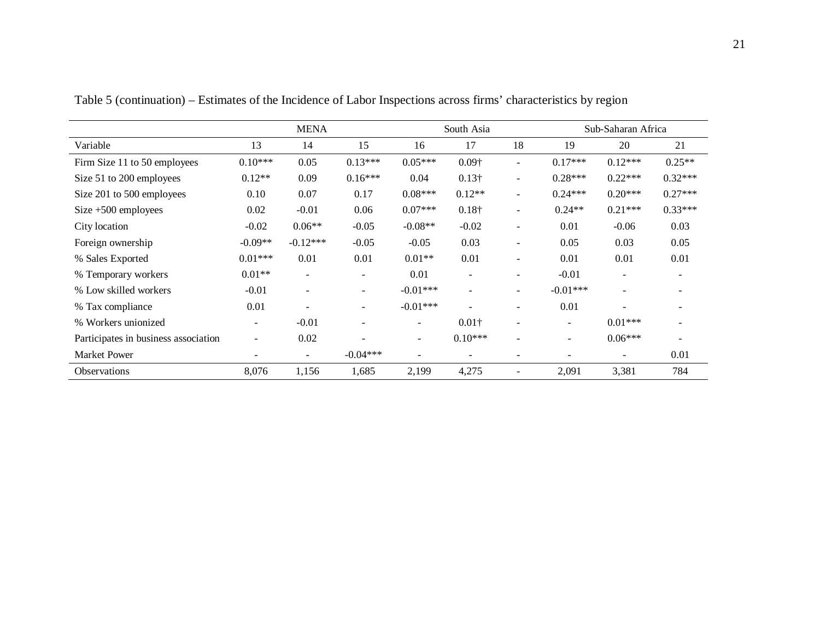|                                      |                          | <b>MENA</b>              |                |                          | South Asia<br>Sub-Saharan Africa |                |                          |                          |                          |
|--------------------------------------|--------------------------|--------------------------|----------------|--------------------------|----------------------------------|----------------|--------------------------|--------------------------|--------------------------|
| Variable                             | 13                       | 14                       | 15             | 16                       | 17                               | 18             | 19                       | 20                       | 21                       |
| Firm Size 11 to 50 employees         | $0.10***$                | 0.05                     | $0.13***$      | $0.05***$                | $0.09\dagger$                    |                | $0.17***$                | $0.12***$                | $0.25**$                 |
| Size 51 to 200 employees             | $0.12**$                 | 0.09                     | $0.16***$      | 0.04                     | $0.13\dagger$                    | $\sim$         | $0.28***$                | $0.22***$                | $0.32***$                |
| Size 201 to 500 employees            | 0.10                     | 0.07                     | 0.17           | $0.08***$                | $0.12**$                         | $\sim$         | $0.24***$                | $0.20***$                | $0.27***$                |
| Size $+500$ employees                | 0.02                     | $-0.01$                  | 0.06           | $0.07***$                | $0.18\dagger$                    |                | $0.24**$                 | $0.21***$                | $0.33***$                |
| City location                        | $-0.02$                  | $0.06**$                 | $-0.05$        | $-0.08**$                | $-0.02$                          | $\sim$         | 0.01                     | $-0.06$                  | 0.03                     |
| Foreign ownership                    | $-0.09**$                | $-0.12***$               | $-0.05$        | $-0.05$                  | 0.03                             | $\blacksquare$ | 0.05                     | 0.03                     | 0.05                     |
| % Sales Exported                     | $0.01***$                | 0.01                     | 0.01           | $0.01**$                 | 0.01                             |                | 0.01                     | 0.01                     | 0.01                     |
| % Temporary workers                  | $0.01**$                 | $\overline{\phantom{a}}$ | $\blacksquare$ | 0.01                     | $\overline{\phantom{a}}$         | $\sim$         | $-0.01$                  | $\overline{\phantom{a}}$ | $\overline{\phantom{a}}$ |
| % Low skilled workers                | $-0.01$                  | $\overline{\phantom{a}}$ | $\blacksquare$ | $-0.01***$               | $\overline{\phantom{a}}$         | ٠              | $-0.01***$               | $\overline{\phantom{a}}$ |                          |
| % Tax compliance                     | 0.01                     |                          |                | $-0.01***$               |                                  |                | 0.01                     |                          |                          |
| % Workers unionized                  | $\overline{\phantom{a}}$ | $-0.01$                  |                | $\overline{\phantom{a}}$ | $0.01\dagger$                    |                |                          | $0.01***$                |                          |
| Participates in business association | $\sim$                   | 0.02                     |                | $\overline{\phantom{a}}$ | $0.10***$                        |                | $\overline{\phantom{0}}$ | $0.06***$                |                          |
| Market Power                         |                          | $\overline{\phantom{a}}$ | $-0.04***$     | $\overline{\phantom{a}}$ | $\blacksquare$                   |                |                          | $\blacksquare$           | 0.01                     |
| Observations                         | 8,076                    | 1,156                    | 1,685          | 2,199                    | 4,275                            |                | 2,091                    | 3,381                    | 784                      |

Table 5 (continuation) – Estimates of the Incidence of Labor Inspections across firms' characteristics by region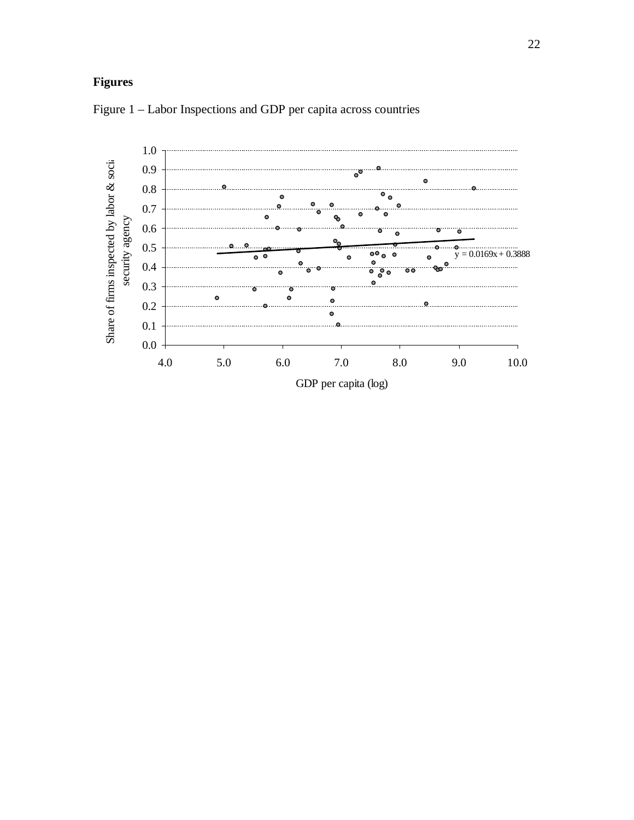# **Figures**



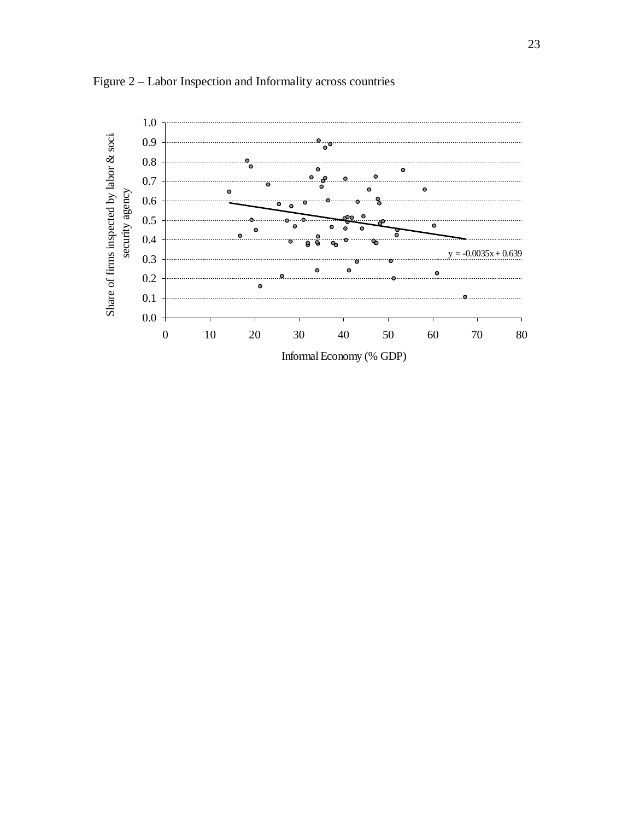

Figure 2 – Labor Inspection and Informality across countries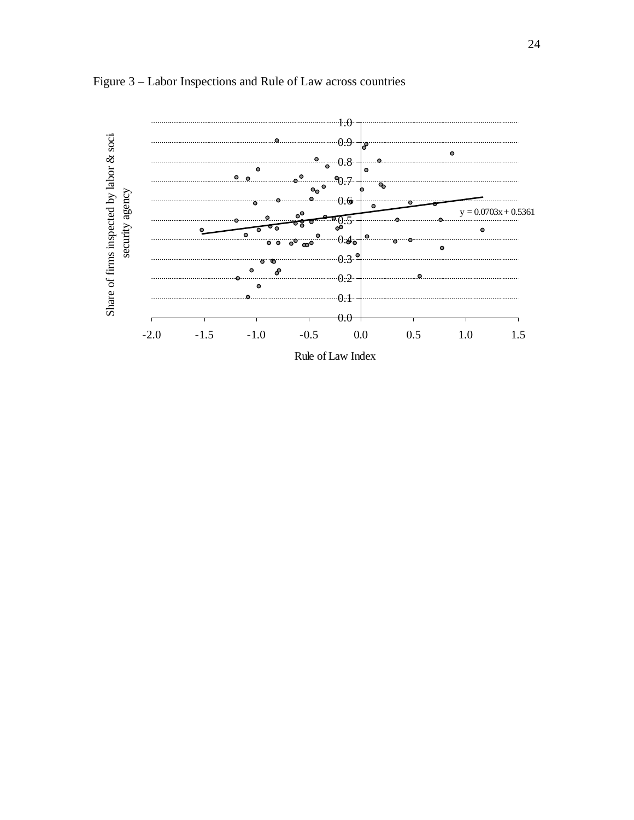

Figure 3 – Labor Inspections and Rule of Law across countries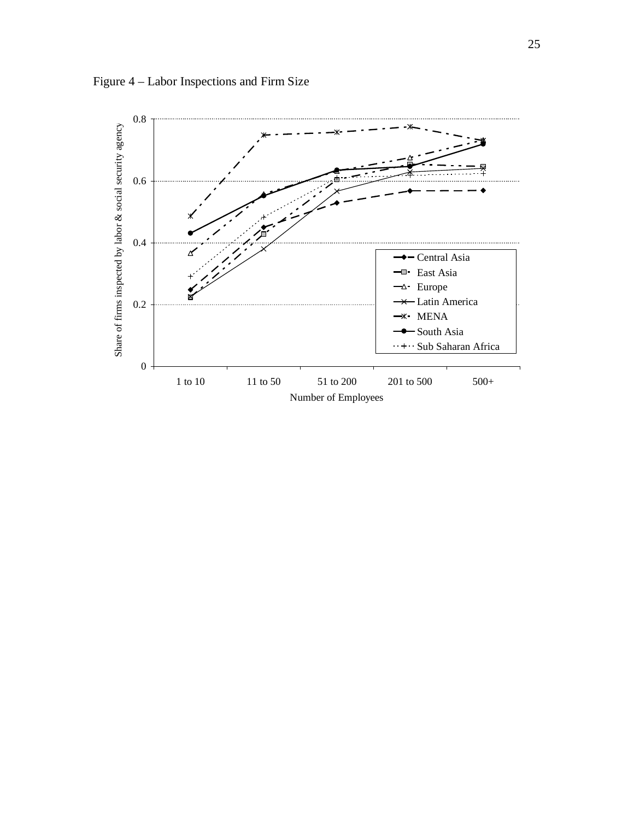

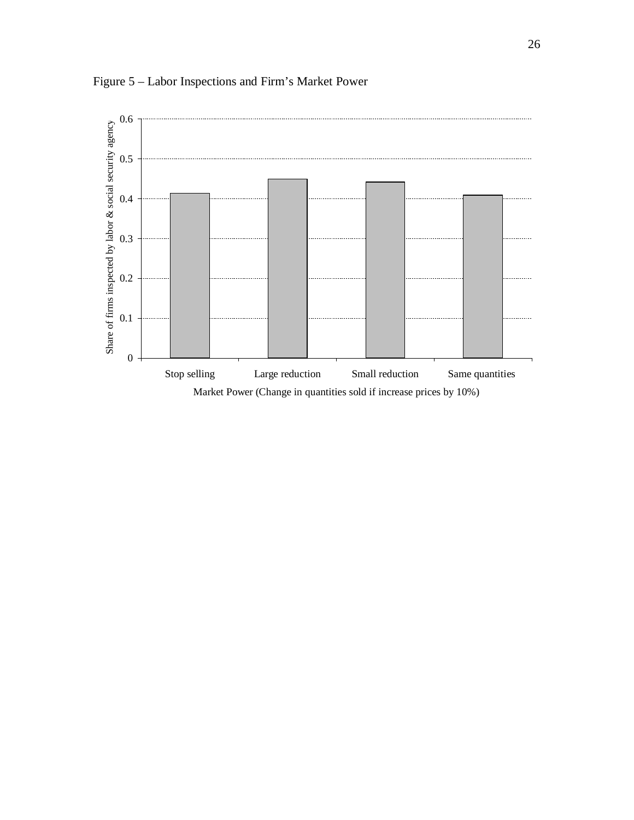

Figure 5 – Labor Inspections and Firm's Market Power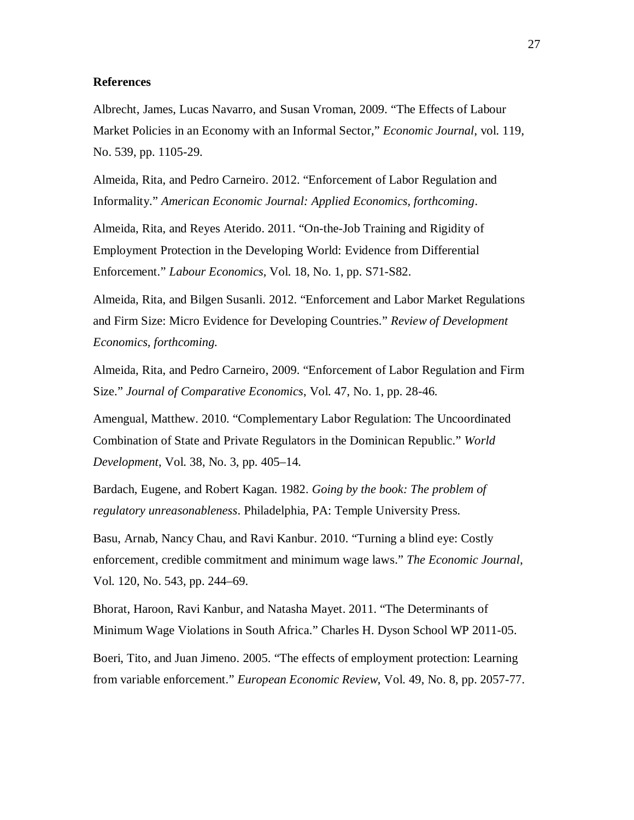## **References**

Albrecht, James, Lucas Navarro, and Susan Vroman, 2009. "The Effects of Labour Market Policies in an Economy with an Informal Sector," *Economic Journal*, vol. 119, No. 539, pp. 1105-29.

Almeida, Rita, and Pedro Carneiro. 2012. "Enforcement of Labor Regulation and Informality." *American Economic Journal: Applied Economics, forthcoming*.

Almeida, Rita, and Reyes Aterido. 2011. "On-the-Job Training and Rigidity of Employment Protection in the Developing World: Evidence from Differential Enforcement." *Labour Economics,* Vol. 18, No. 1, pp. S71-S82.

Almeida, Rita, and Bilgen Susanli. 2012. "Enforcement and Labor Market Regulations and Firm Size: Micro Evidence for Developing Countries." *Review of Development Economics, forthcoming.*

Almeida, Rita, and Pedro Carneiro, 2009. "Enforcement of Labor Regulation and Firm Size." *Journal of Comparative Economics*, Vol. 47, No. 1, pp. 28-46.

Amengual, Matthew. 2010. "Complementary Labor Regulation: The Uncoordinated Combination of State and Private Regulators in the Dominican Republic." *World Development*, Vol. 38, No. 3, pp. 405–14.

Bardach, Eugene, and Robert Kagan. 1982. *Going by the book: The problem of regulatory unreasonableness*. Philadelphia, PA: Temple University Press.

Basu, Arnab, Nancy Chau, and Ravi Kanbur. 2010. "Turning a blind eye: Costly enforcement, credible commitment and minimum wage laws." *The Economic Journal*, Vol. 120, No. 543, pp. 244–69.

Bhorat, Haroon, Ravi Kanbur, and Natasha Mayet. 2011. "The Determinants of Minimum Wage Violations in South Africa." Charles H. Dyson School WP 2011-05.

Boeri, Tito, and Juan Jimeno. 2005. "The effects of employment protection: Learning from variable enforcement." *European Economic Review*, Vol. 49, No. 8, pp. 2057-77.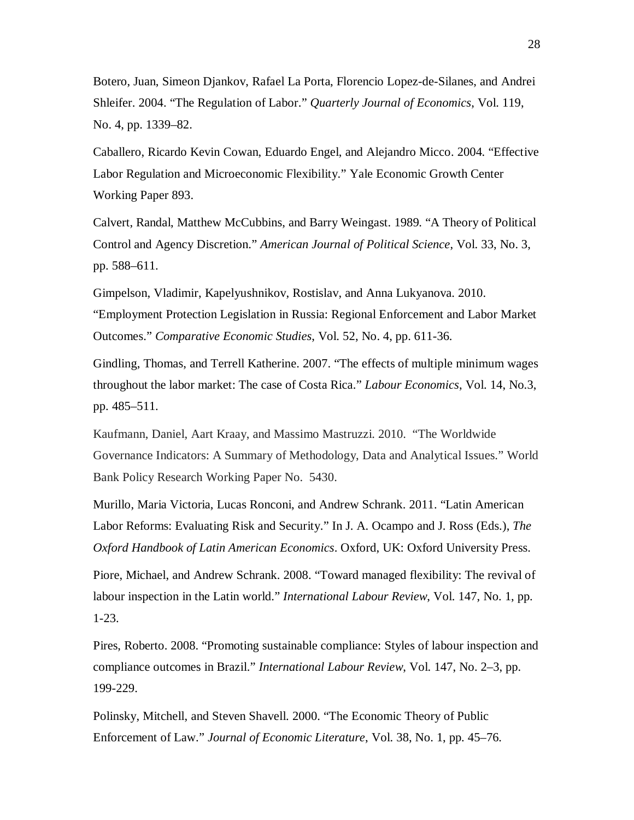Botero, Juan, Simeon Djankov, Rafael La Porta, Florencio Lopez-de-Silanes, and Andrei Shleifer. 2004. "The Regulation of Labor." *Quarterly Journal of Economics*, Vol. 119, No. 4, pp. 1339–82.

Caballero, Ricardo Kevin Cowan, Eduardo Engel, and Alejandro Micco. 2004. "Effective Labor Regulation and Microeconomic Flexibility." Yale Economic Growth Center Working Paper 893.

Calvert, Randal, Matthew McCubbins, and Barry Weingast. 1989. "A Theory of Political Control and Agency Discretion." *American Journal of Political Science*, Vol. 33, No. 3, pp. 588–611.

Gimpelson, Vladimir, Kapelyushnikov, Rostislav, and Anna Lukyanova. 2010. "Employment Protection Legislation in Russia: Regional Enforcement and Labor Market Outcomes." *Comparative Economic Studies*, Vol. 52, No. 4, pp. 611-36.

Gindling, Thomas, and Terrell Katherine. 2007. "The effects of multiple minimum wages throughout the labor market: The case of Costa Rica." *Labour Economics*, Vol. 14, No.3, pp. 485–511.

Kaufmann, Daniel, Aart Kraay, and Massimo Mastruzzi. 2010. "The Worldwide Governance Indicators: A Summary of Methodology, Data and Analytical Issues." World Bank Policy Research Working Paper No. 5430.

Murillo, Maria Victoria, Lucas Ronconi, and Andrew Schrank. 2011. "Latin American Labor Reforms: Evaluating Risk and Security." In J. A. Ocampo and J. Ross (Eds.), *The Oxford Handbook of Latin American Economics*. Oxford, UK: Oxford University Press.

Piore, Michael, and Andrew Schrank. 2008. "Toward managed flexibility: The revival of labour inspection in the Latin world." *International Labour Review*, Vol. 147, No. 1, pp. 1-23.

Pires, Roberto. 2008. "Promoting sustainable compliance: Styles of labour inspection and compliance outcomes in Brazil." *International Labour Review*, Vol. 147, No. 2–3, pp. 199-229.

Polinsky, Mitchell, and Steven Shavell. 2000. "The Economic Theory of Public Enforcement of Law." *Journal of Economic Literature*, Vol. 38, No. 1, pp. 45–76.